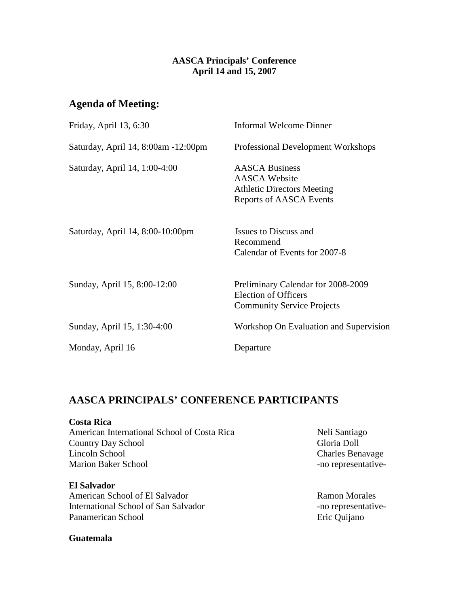## **AASCA Principals' Conference April 14 and 15, 2007**

# **Agenda of Meeting:**

| Friday, April 13, 6:30              | Informal Welcome Dinner                                                                                              |
|-------------------------------------|----------------------------------------------------------------------------------------------------------------------|
| Saturday, April 14, 8:00am -12:00pm | <b>Professional Development Workshops</b>                                                                            |
| Saturday, April 14, 1:00-4:00       | <b>AASCA Business</b><br><b>AASCA Website</b><br><b>Athletic Directors Meeting</b><br><b>Reports of AASCA Events</b> |
| Saturday, April 14, 8:00-10:00pm    | Issues to Discuss and<br>Recommend<br>Calendar of Events for 2007-8                                                  |
| Sunday, April 15, 8:00-12:00        | Preliminary Calendar for 2008-2009<br><b>Election of Officers</b><br><b>Community Service Projects</b>               |
| Sunday, April 15, 1:30-4:00         | Workshop On Evaluation and Supervision                                                                               |
| Monday, April 16                    | Departure                                                                                                            |

# **AASCA PRINCIPALS' CONFERENCE PARTICIPANTS**

**Costa Rica**  American International School of Costa Rica Neli Santiago Country Day School Gloria Doll<br>
Lincoln School Charles Ben Marion Baker School **-no** representative-

**El Salvador**  American School of El Salvador Ramon Morales International School of San Salvador -no representative-Panamerican School **Existence** Eric Quijano

**Guatemala** 

Charles Benavage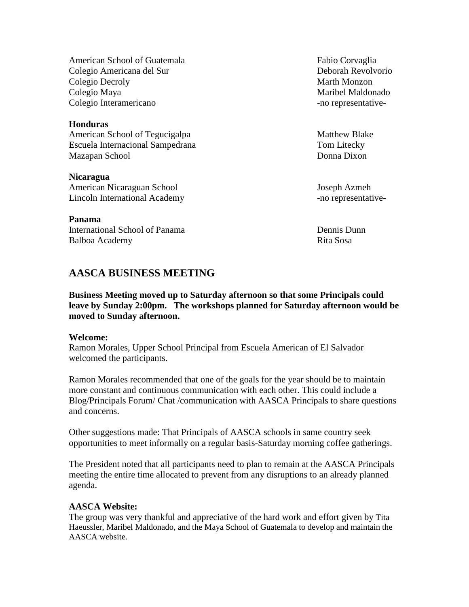American School of Guatemala Fabio Corvaglia Colegio Americana del Sur Deborah Revolvorio Colegio Decroly **Marth** Monzon Colegio Maya **Maribel Maldonado** Colegio Interamericano e contra e contra e contra e contra e contra e contra e contra e contra e contra e contra e contra e contra e contra e contra e contra e contra e contra e contra e contra e contra e contra e contra e

#### **Honduras**

American School of Tegucigalpa Matthew Blake Escuela Internacional Sampedrana Tom Litecky Mazapan School Donna Dixon

**Nicaragua**  American Nicaraguan School Joseph Azmeh Lincoln International Academy -no representative-

**Panama**  International School of Panama Dennis Dunn Balboa Academy Rita Sosa

# **AASCA BUSINESS MEETING**

**Business Meeting moved up to Saturday afternoon so that some Principals could leave by Sunday 2:00pm. The workshops planned for Saturday afternoon would be moved to Sunday afternoon.** 

#### **Welcome:**

Ramon Morales, Upper School Principal from Escuela American of El Salvador welcomed the participants.

Ramon Morales recommended that one of the goals for the year should be to maintain more constant and continuous communication with each other. This could include a Blog/Principals Forum/ Chat /communication with AASCA Principals to share questions and concerns.

Other suggestions made: That Principals of AASCA schools in same country seek opportunities to meet informally on a regular basis-Saturday morning coffee gatherings.

The President noted that all participants need to plan to remain at the AASCA Principals meeting the entire time allocated to prevent from any disruptions to an already planned agenda.

## **AASCA Website:**

The group was very thankful and appreciative of the hard work and effort given by Tita Haeussler, Maribel Maldonado, and the Maya School of Guatemala to develop and maintain the AASCA website.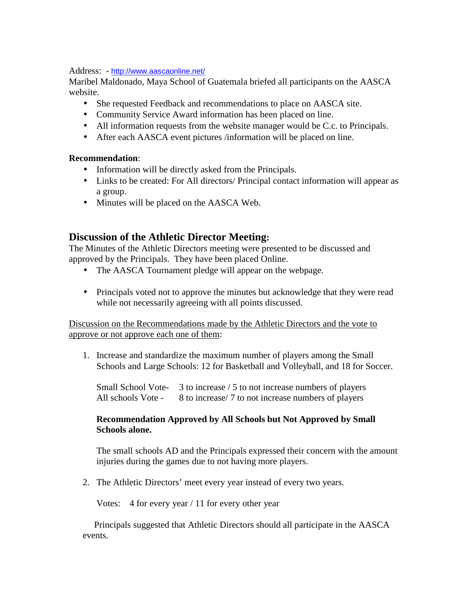Address: - http://www.aascaonline.net/

Maribel Maldonado, Maya School of Guatemala briefed all participants on the AASCA website.

- She requested Feedback and recommendations to place on AASCA site.
- Community Service Award information has been placed on line.
- All information requests from the website manager would be C.c. to Principals.
- After each AASCA event pictures /information will be placed on line.

# **Recommendation**:

- Information will be directly asked from the Principals.
- Links to be created: For All directors/ Principal contact information will appear as a group.
- Minutes will be placed on the AASCA Web.

# **Discussion of the Athletic Director Meeting:**

The Minutes of the Athletic Directors meeting were presented to be discussed and approved by the Principals. They have been placed Online.

- The AASCA Tournament pledge will appear on the webpage.
- Principals voted not to approve the minutes but acknowledge that they were read while not necessarily agreeing with all points discussed.

# Discussion on the Recommendations made by the Athletic Directors and the vote to approve or not approve each one of them:

1. Increase and standardize the maximum number of players among the Small Schools and Large Schools: 12 for Basketball and Volleyball, and 18 for Soccer.

Small School Vote- 3 to increase / 5 to not increase numbers of players All schools Vote - 8 to increase/ 7 to not increase numbers of players

# **Recommendation Approved by All Schools but Not Approved by Small Schools alone.**

The small schools AD and the Principals expressed their concern with the amount injuries during the games due to not having more players.

2. The Athletic Directors' meet every year instead of every two years.

Votes: 4 for every year / 11 for every other year

 Principals suggested that Athletic Directors should all participate in the AASCA events.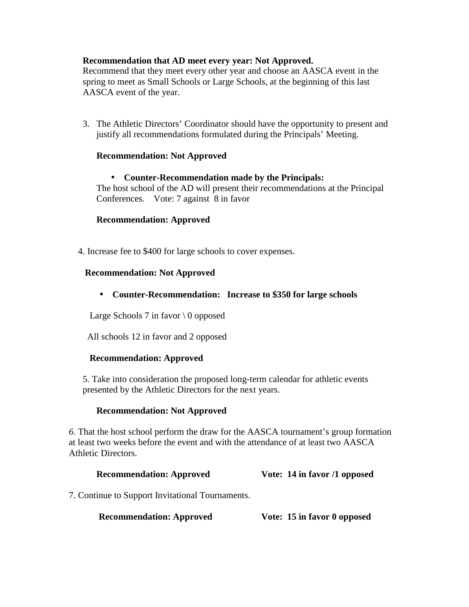## **Recommendation that AD meet every year: Not Approved.**

Recommend that they meet every other year and choose an AASCA event in the spring to meet as Small Schools or Large Schools, at the beginning of this last AASCA event of the year.

3. The Athletic Directors' Coordinator should have the opportunity to present and justify all recommendations formulated during the Principals' Meeting.

## **Recommendation: Not Approved**

## • **Counter-Recommendation made by the Principals:**

The host school of the AD will present their recommendations at the Principal Conferences. Vote: 7 against 8 in favor

## **Recommendation: Approved**

4. Increase fee to \$400 for large schools to cover expenses.

### **Recommendation: Not Approved**

• **Counter-Recommendation: Increase to \$350 for large schools** 

Large Schools 7 in favor  $\setminus 0$  opposed

All schools 12 in favor and 2 opposed

## **Recommendation: Approved**

5. Take into consideration the proposed long-term calendar for athletic events presented by the Athletic Directors for the next years.

## **Recommendation: Not Approved**

*6.* That the host school perform the draw for the AASCA tournament's group formation at least two weeks before the event and with the attendance of at least two AASCA Athletic Directors.

## **Recommendation: Approved Vote: 14 in favor /1 opposed**

7. Continue to Support Invitational Tournaments.

**Recommendation: Approved Vote: 15 in favor 0 opposed**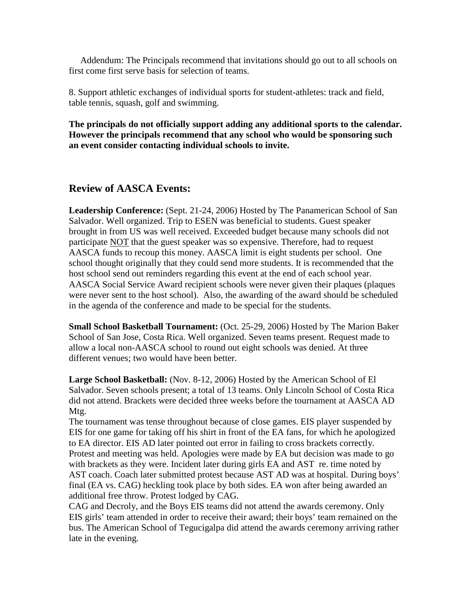Addendum: The Principals recommend that invitations should go out to all schools on first come first serve basis for selection of teams.

8. Support athletic exchanges of individual sports for student-athletes: track and field, table tennis, squash, golf and swimming.

**The principals do not officially support adding any additional sports to the calendar. However the principals recommend that any school who would be sponsoring such an event consider contacting individual schools to invite.** 

# **Review of AASCA Events:**

**Leadership Conference:** (Sept. 21-24, 2006) Hosted by The Panamerican School of San Salvador. Well organized. Trip to ESEN was beneficial to students. Guest speaker brought in from US was well received. Exceeded budget because many schools did not participate NOT that the guest speaker was so expensive. Therefore, had to request AASCA funds to recoup this money. AASCA limit is eight students per school. One school thought originally that they could send more students. It is recommended that the host school send out reminders regarding this event at the end of each school year. AASCA Social Service Award recipient schools were never given their plaques (plaques were never sent to the host school). Also, the awarding of the award should be scheduled in the agenda of the conference and made to be special for the students.

**Small School Basketball Tournament:** (Oct. 25-29, 2006) Hosted by The Marion Baker School of San Jose, Costa Rica. Well organized. Seven teams present. Request made to allow a local non-AASCA school to round out eight schools was denied. At three different venues; two would have been better.

**Large School Basketball:** (Nov. 8-12, 2006) Hosted by the American School of El Salvador. Seven schools present; a total of 13 teams. Only Lincoln School of Costa Rica did not attend. Brackets were decided three weeks before the tournament at AASCA AD Mtg.

The tournament was tense throughout because of close games. EIS player suspended by EIS for one game for taking off his shirt in front of the EA fans, for which he apologized to EA director. EIS AD later pointed out error in failing to cross brackets correctly. Protest and meeting was held. Apologies were made by EA but decision was made to go with brackets as they were. Incident later during girls EA and AST re. time noted by AST coach. Coach later submitted protest because AST AD was at hospital. During boys' final (EA vs. CAG) heckling took place by both sides. EA won after being awarded an additional free throw. Protest lodged by CAG.

CAG and Decroly, and the Boys EIS teams did not attend the awards ceremony. Only EIS girls' team attended in order to receive their award; their boys' team remained on the bus. The American School of Tegucigalpa did attend the awards ceremony arriving rather late in the evening.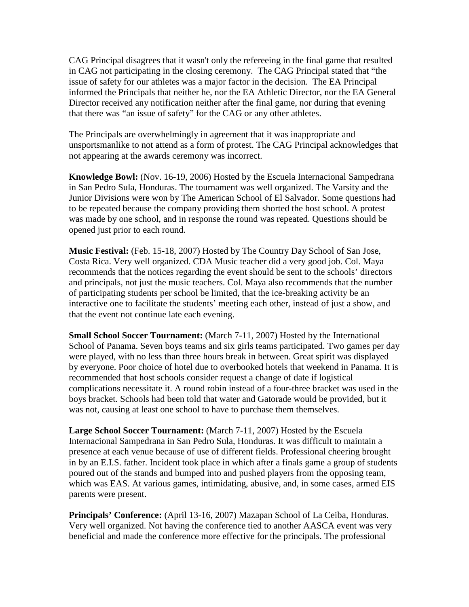CAG Principal disagrees that it wasn't only the refereeing in the final game that resulted in CAG not participating in the closing ceremony. The CAG Principal stated that "the issue of safety for our athletes was a major factor in the decision. The EA Principal informed the Principals that neither he, nor the EA Athletic Director, nor the EA General Director received any notification neither after the final game, nor during that evening that there was "an issue of safety" for the CAG or any other athletes.

The Principals are overwhelmingly in agreement that it was inappropriate and unsportsmanlike to not attend as a form of protest. The CAG Principal acknowledges that not appearing at the awards ceremony was incorrect.

**Knowledge Bowl:** (Nov. 16-19, 2006) Hosted by the Escuela Internacional Sampedrana in San Pedro Sula, Honduras. The tournament was well organized. The Varsity and the Junior Divisions were won by The American School of El Salvador. Some questions had to be repeated because the company providing them shorted the host school. A protest was made by one school, and in response the round was repeated. Questions should be opened just prior to each round.

**Music Festival:** (Feb. 15-18, 2007) Hosted by The Country Day School of San Jose, Costa Rica. Very well organized. CDA Music teacher did a very good job. Col. Maya recommends that the notices regarding the event should be sent to the schools' directors and principals, not just the music teachers. Col. Maya also recommends that the number of participating students per school be limited, that the ice-breaking activity be an interactive one to facilitate the students' meeting each other, instead of just a show, and that the event not continue late each evening.

**Small School Soccer Tournament:** (March 7-11, 2007) Hosted by the International School of Panama. Seven boys teams and six girls teams participated. Two games per day were played, with no less than three hours break in between. Great spirit was displayed by everyone. Poor choice of hotel due to overbooked hotels that weekend in Panama. It is recommended that host schools consider request a change of date if logistical complications necessitate it. A round robin instead of a four-three bracket was used in the boys bracket. Schools had been told that water and Gatorade would be provided, but it was not, causing at least one school to have to purchase them themselves.

**Large School Soccer Tournament:** (March 7-11, 2007) Hosted by the Escuela Internacional Sampedrana in San Pedro Sula, Honduras. It was difficult to maintain a presence at each venue because of use of different fields. Professional cheering brought in by an E.I.S. father. Incident took place in which after a finals game a group of students poured out of the stands and bumped into and pushed players from the opposing team, which was EAS. At various games, intimidating, abusive, and, in some cases, armed EIS parents were present.

**Principals' Conference:** (April 13-16, 2007) Mazapan School of La Ceiba, Honduras. Very well organized. Not having the conference tied to another AASCA event was very beneficial and made the conference more effective for the principals. The professional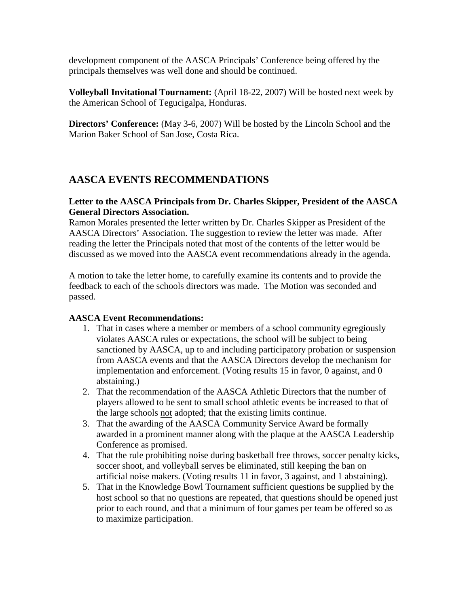development component of the AASCA Principals' Conference being offered by the principals themselves was well done and should be continued.

**Volleyball Invitational Tournament:** (April 18-22, 2007) Will be hosted next week by the American School of Tegucigalpa, Honduras.

**Directors' Conference:** (May 3-6, 2007) Will be hosted by the Lincoln School and the Marion Baker School of San Jose, Costa Rica.

# **AASCA EVENTS RECOMMENDATIONS**

## **Letter to the AASCA Principals from Dr. Charles Skipper, President of the AASCA General Directors Association.**

Ramon Morales presented the letter written by Dr. Charles Skipper as President of the AASCA Directors' Association. The suggestion to review the letter was made. After reading the letter the Principals noted that most of the contents of the letter would be discussed as we moved into the AASCA event recommendations already in the agenda.

A motion to take the letter home, to carefully examine its contents and to provide the feedback to each of the schools directors was made. The Motion was seconded and passed.

# **AASCA Event Recommendations:**

- 1. That in cases where a member or members of a school community egregiously violates AASCA rules or expectations, the school will be subject to being sanctioned by AASCA, up to and including participatory probation or suspension from AASCA events and that the AASCA Directors develop the mechanism for implementation and enforcement. (Voting results 15 in favor, 0 against, and 0 abstaining.)
- 2. That the recommendation of the AASCA Athletic Directors that the number of players allowed to be sent to small school athletic events be increased to that of the large schools not adopted; that the existing limits continue.
- 3. That the awarding of the AASCA Community Service Award be formally awarded in a prominent manner along with the plaque at the AASCA Leadership Conference as promised.
- 4. That the rule prohibiting noise during basketball free throws, soccer penalty kicks, soccer shoot, and volleyball serves be eliminated, still keeping the ban on artificial noise makers. (Voting results 11 in favor, 3 against, and 1 abstaining).
- 5. That in the Knowledge Bowl Tournament sufficient questions be supplied by the host school so that no questions are repeated, that questions should be opened just prior to each round, and that a minimum of four games per team be offered so as to maximize participation.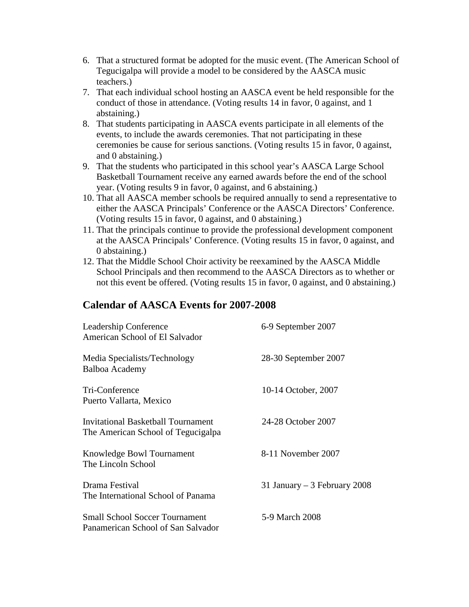- 6. That a structured format be adopted for the music event. (The American School of Tegucigalpa will provide a model to be considered by the AASCA music teachers.)
- 7. That each individual school hosting an AASCA event be held responsible for the conduct of those in attendance. (Voting results 14 in favor, 0 against, and 1 abstaining.)
- 8. That students participating in AASCA events participate in all elements of the events, to include the awards ceremonies. That not participating in these ceremonies be cause for serious sanctions. (Voting results 15 in favor, 0 against, and 0 abstaining.)
- 9. That the students who participated in this school year's AASCA Large School Basketball Tournament receive any earned awards before the end of the school year. (Voting results 9 in favor, 0 against, and 6 abstaining.)
- 10. That all AASCA member schools be required annually to send a representative to either the AASCA Principals' Conference or the AASCA Directors' Conference. (Voting results 15 in favor, 0 against, and 0 abstaining.)
- 11. That the principals continue to provide the professional development component at the AASCA Principals' Conference. (Voting results 15 in favor, 0 against, and 0 abstaining.)
- 12. That the Middle School Choir activity be reexamined by the AASCA Middle School Principals and then recommend to the AASCA Directors as to whether or not this event be offered. (Voting results 15 in favor, 0 against, and 0 abstaining.)

# **Calendar of AASCA Events for 2007-2008**

| Leadership Conference<br>American School of El Salvador                         | 6-9 September 2007            |
|---------------------------------------------------------------------------------|-------------------------------|
| Media Specialists/Technology<br>Balboa Academy                                  | 28-30 September 2007          |
| Tri-Conference<br>Puerto Vallarta, Mexico                                       | 10-14 October, 2007           |
| <b>Invitational Basketball Tournament</b><br>The American School of Tegucigalpa | 24-28 October 2007            |
| Knowledge Bowl Tournament<br>The Lincoln School                                 | 8-11 November 2007            |
| Drama Festival<br>The International School of Panama                            | 31 January $-3$ February 2008 |
| <b>Small School Soccer Tournament</b><br>Panamerican School of San Salvador     | 5-9 March 2008                |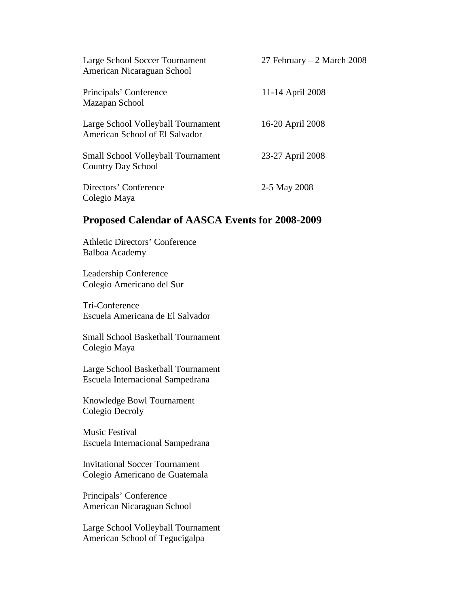| Large School Soccer Tournament<br>American Nicaraguan School           | 27 February $-2$ March 2008 |
|------------------------------------------------------------------------|-----------------------------|
| Principals' Conference<br>Mazapan School                               | 11-14 April 2008            |
| Large School Volleyball Tournament<br>American School of El Salvador   | 16-20 April 2008            |
| <b>Small School Volleyball Tournament</b><br><b>Country Day School</b> | 23-27 April 2008            |
| Directors' Conference<br>Colegio Maya                                  | 2-5 May 2008                |

# **Proposed Calendar of AASCA Events for 2008-2009**

Athletic Directors' Conference Balboa Academy

Leadership Conference Colegio Americano del Sur

Tri-Conference Escuela Americana de El Salvador

Small School Basketball Tournament Colegio Maya

Large School Basketball Tournament Escuela Internacional Sampedrana

Knowledge Bowl Tournament Colegio Decroly

Music Festival Escuela Internacional Sampedrana

Invitational Soccer Tournament Colegio Americano de Guatemala

Principals' Conference American Nicaraguan School

Large School Volleyball Tournament American School of Tegucigalpa